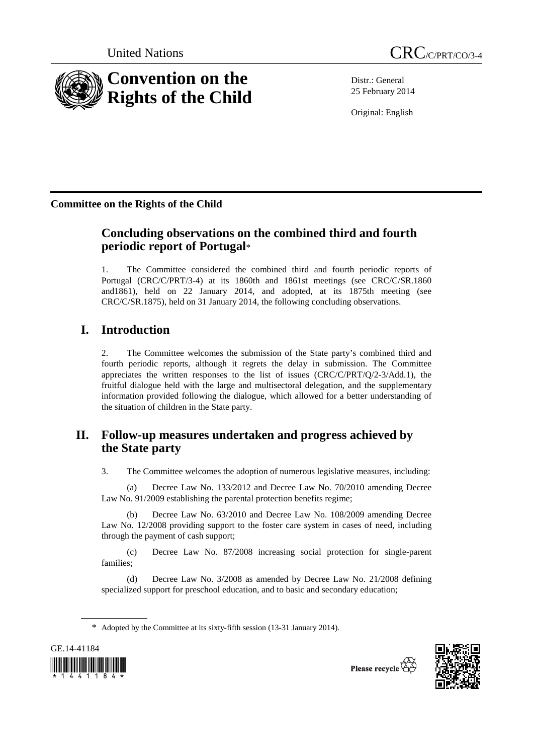

Distr.: General 25 February 2014

Original: English

**Committee on the Rights of the Child** 

# **Concluding observations on the combined third and fourth periodic report of Portugal**\*

1. The Committee considered the combined third and fourth periodic reports of Portugal (CRC/C/PRT/3-4) at its 1860th and 1861st meetings (see CRC/C/SR.1860 and1861), held on 22 January 2014, and adopted, at its 1875th meeting (see CRC/C/SR.1875), held on 31 January 2014, the following concluding observations.

# **I. Introduction**

2. The Committee welcomes the submission of the State party's combined third and fourth periodic reports, although it regrets the delay in submission. The Committee appreciates the written responses to the list of issues (CRC/C/PRT/Q/2-3/Add.1), the fruitful dialogue held with the large and multisectoral delegation, and the supplementary information provided following the dialogue, which allowed for a better understanding of the situation of children in the State party.

# **II. Follow-up measures undertaken and progress achieved by the State party**

3. The Committee welcomes the adoption of numerous legislative measures, including:

(a) Decree Law No. 133/2012 and Decree Law No. 70/2010 amending Decree Law No. 91/2009 establishing the parental protection benefits regime;

(b) Decree Law No. 63/2010 and Decree Law No. 108/2009 amending Decree Law No. 12/2008 providing support to the foster care system in cases of need, including through the payment of cash support;

(c) Decree Law No. 87/2008 increasing social protection for single-parent families;

(d) Decree Law No. 3/2008 as amended by Decree Law No. 21/2008 defining specialized support for preschool education, and to basic and secondary education;

<sup>\*</sup> Adopted by the Committee at its sixty-fifth session (13-31 January 2014).



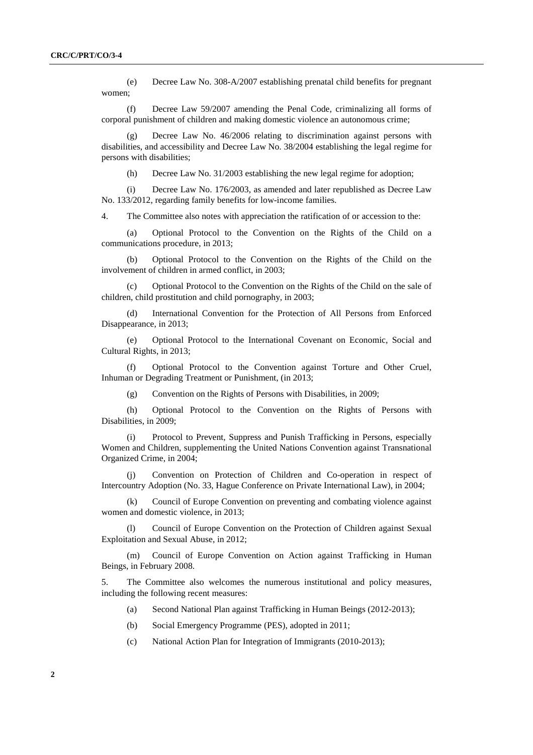(e) Decree Law No. 308-A/2007 establishing prenatal child benefits for pregnant women;

(f) Decree Law 59/2007 amending the Penal Code, criminalizing all forms of corporal punishment of children and making domestic violence an autonomous crime;

(g) Decree Law No. 46/2006 relating to discrimination against persons with disabilities, and accessibility and Decree Law No. 38/2004 establishing the legal regime for persons with disabilities;

(h) Decree Law No. 31/2003 establishing the new legal regime for adoption;

(i) Decree Law No. 176/2003, as amended and later republished as Decree Law No. 133/2012, regarding family benefits for low-income families.

4. The Committee also notes with appreciation the ratification of or accession to the:

(a) Optional Protocol to the Convention on the Rights of the Child on a communications procedure, in 2013;

(b) Optional Protocol to the Convention on the Rights of the Child on the involvement of children in armed conflict, in 2003;

(c) Optional Protocol to the Convention on the Rights of the Child on the sale of children, child prostitution and child pornography, in 2003;

(d) International Convention for the Protection of All Persons from Enforced Disappearance, in 2013;

(e) Optional Protocol to the International Covenant on Economic, Social and Cultural Rights, in 2013;

(f) Optional Protocol to the Convention against Torture and Other Cruel, Inhuman or Degrading Treatment or Punishment, (in 2013;

(g) Convention on the Rights of Persons with Disabilities, in 2009;

(h) Optional Protocol to the Convention on the Rights of Persons with Disabilities, in 2009;

(i) Protocol to Prevent, Suppress and Punish Trafficking in Persons, especially Women and Children, supplementing the United Nations Convention against Transnational Organized Crime, in 2004;

(j) Convention on Protection of Children and Co-operation in respect of Intercountry Adoption (No. 33, Hague Conference on Private International Law), in 2004;

(k) Council of Europe Convention on preventing and combating violence against women and domestic violence, in 2013;

(l) Council of Europe Convention on the Protection of Children against Sexual Exploitation and Sexual Abuse, in 2012;

(m) Council of Europe Convention on Action against Trafficking in Human Beings, in February 2008.

5. The Committee also welcomes the numerous institutional and policy measures, including the following recent measures:

- (a) Second National Plan against Trafficking in Human Beings (2012-2013);
- (b) Social Emergency Programme (PES), adopted in 2011;
- (c) National Action Plan for Integration of Immigrants (2010-2013);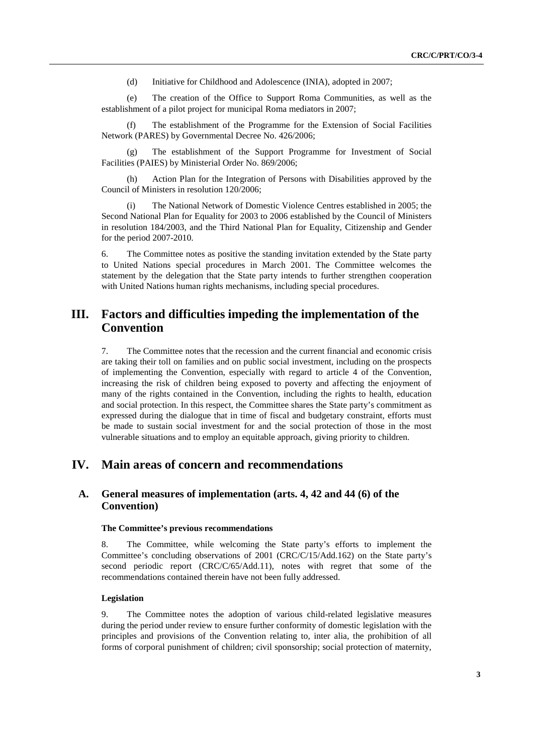(d) Initiative for Childhood and Adolescence (INIA), adopted in 2007;

(e) The creation of the Office to Support Roma Communities, as well as the establishment of a pilot project for municipal Roma mediators in 2007;

(f) The establishment of the Programme for the Extension of Social Facilities Network (PARES) by Governmental Decree No. 426/2006;

(g) The establishment of the Support Programme for Investment of Social Facilities (PAIES) by Ministerial Order No. 869/2006;

Action Plan for the Integration of Persons with Disabilities approved by the Council of Ministers in resolution 120/2006;

(i) The National Network of Domestic Violence Centres established in 2005; the Second National Plan for Equality for 2003 to 2006 established by the Council of Ministers in resolution 184/2003, and the Third National Plan for Equality, Citizenship and Gender for the period 2007-2010.

6. The Committee notes as positive the standing invitation extended by the State party to United Nations special procedures in March 2001. The Committee welcomes the statement by the delegation that the State party intends to further strengthen cooperation with United Nations human rights mechanisms, including special procedures.

## **III. Factors and difficulties impeding the implementation of the Convention**

7. The Committee notes that the recession and the current financial and economic crisis are taking their toll on families and on public social investment, including on the prospects of implementing the Convention, especially with regard to article 4 of the Convention, increasing the risk of children being exposed to poverty and affecting the enjoyment of many of the rights contained in the Convention, including the rights to health, education and social protection. In this respect, the Committee shares the State party's commitment as expressed during the dialogue that in time of fiscal and budgetary constraint, efforts must be made to sustain social investment for and the social protection of those in the most vulnerable situations and to employ an equitable approach, giving priority to children.

## **IV. Main areas of concern and recommendations**

## **A. General measures of implementation (arts. 4, 42 and 44 (6) of the Convention)**

#### **The Committee's previous recommendations**

8. The Committee, while welcoming the State party's efforts to implement the Committee's concluding observations of 2001 (CRC/C/15/Add.162) on the State party's second periodic report (CRC/C/65/Add.11), notes with regret that some of the recommendations contained therein have not been fully addressed.

#### **Legislation**

9. The Committee notes the adoption of various child-related legislative measures during the period under review to ensure further conformity of domestic legislation with the principles and provisions of the Convention relating to, inter alia, the prohibition of all forms of corporal punishment of children; civil sponsorship; social protection of maternity,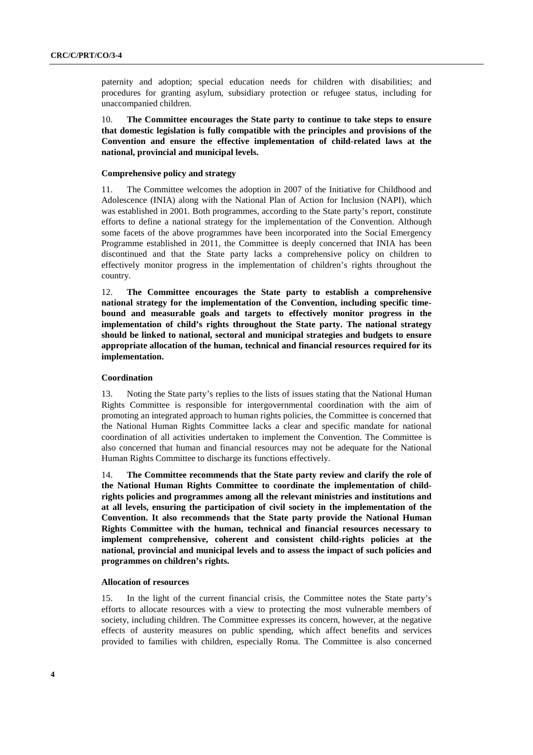paternity and adoption; special education needs for children with disabilities; and procedures for granting asylum, subsidiary protection or refugee status, including for unaccompanied children.

10. **The Committee encourages the State party to continue to take steps to ensure that domestic legislation is fully compatible with the principles and provisions of the Convention and ensure the effective implementation of child-related laws at the national, provincial and municipal levels.** 

#### **Comprehensive policy and strategy**

11. The Committee welcomes the adoption in 2007 of the Initiative for Childhood and Adolescence (INIA) along with the National Plan of Action for Inclusion (NAPI), which was established in 2001. Both programmes, according to the State party's report, constitute efforts to define a national strategy for the implementation of the Convention. Although some facets of the above programmes have been incorporated into the Social Emergency Programme established in 2011, the Committee is deeply concerned that INIA has been discontinued and that the State party lacks a comprehensive policy on children to effectively monitor progress in the implementation of children's rights throughout the country.

12. **The Committee encourages the State party to establish a comprehensive national strategy for the implementation of the Convention, including specific timebound and measurable goals and targets to effectively monitor progress in the implementation of child's rights throughout the State party. The national strategy should be linked to national, sectoral and municipal strategies and budgets to ensure appropriate allocation of the human, technical and financial resources required for its implementation.** 

#### **Coordination**

13. Noting the State party's replies to the lists of issues stating that the National Human Rights Committee is responsible for intergovernmental coordination with the aim of promoting an integrated approach to human rights policies, the Committee is concerned that the National Human Rights Committee lacks a clear and specific mandate for national coordination of all activities undertaken to implement the Convention. The Committee is also concerned that human and financial resources may not be adequate for the National Human Rights Committee to discharge its functions effectively.

14. **The Committee recommends that the State party review and clarify the role of the National Human Rights Committee to coordinate the implementation of childrights policies and programmes among all the relevant ministries and institutions and at all levels, ensuring the participation of civil society in the implementation of the Convention. It also recommends that the State party provide the National Human Rights Committee with the human, technical and financial resources necessary to implement comprehensive, coherent and consistent child-rights policies at the national, provincial and municipal levels and to assess the impact of such policies and programmes on children's rights.** 

### **Allocation of resources**

15. In the light of the current financial crisis, the Committee notes the State party's efforts to allocate resources with a view to protecting the most vulnerable members of society, including children. The Committee expresses its concern, however, at the negative effects of austerity measures on public spending, which affect benefits and services provided to families with children, especially Roma. The Committee is also concerned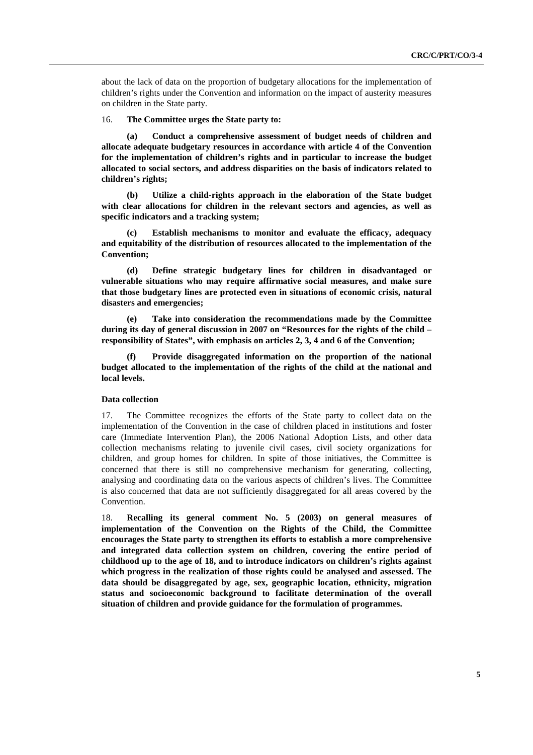about the lack of data on the proportion of budgetary allocations for the implementation of children's rights under the Convention and information on the impact of austerity measures on children in the State party.

#### 16. **The Committee urges the State party to:**

**(a) Conduct a comprehensive assessment of budget needs of children and allocate adequate budgetary resources in accordance with article 4 of the Convention for the implementation of children's rights and in particular to increase the budget allocated to social sectors, and address disparities on the basis of indicators related to children's rights;** 

**(b) Utilize a child-rights approach in the elaboration of the State budget with clear allocations for children in the relevant sectors and agencies, as well as specific indicators and a tracking system;** 

**(c) Establish mechanisms to monitor and evaluate the efficacy, adequacy and equitability of the distribution of resources allocated to the implementation of the Convention;** 

**(d) Define strategic budgetary lines for children in disadvantaged or vulnerable situations who may require affirmative social measures, and make sure that those budgetary lines are protected even in situations of economic crisis, natural disasters and emergencies;** 

**(e) Take into consideration the recommendations made by the Committee during its day of general discussion in 2007 on "Resources for the rights of the child – responsibility of States", with emphasis on articles 2, 3, 4 and 6 of the Convention;** 

**(f) Provide disaggregated information on the proportion of the national budget allocated to the implementation of the rights of the child at the national and local levels.** 

## **Data collection**

17. The Committee recognizes the efforts of the State party to collect data on the implementation of the Convention in the case of children placed in institutions and foster care (Immediate Intervention Plan), the 2006 National Adoption Lists, and other data collection mechanisms relating to juvenile civil cases, civil society organizations for children, and group homes for children. In spite of those initiatives, the Committee is concerned that there is still no comprehensive mechanism for generating, collecting, analysing and coordinating data on the various aspects of children's lives. The Committee is also concerned that data are not sufficiently disaggregated for all areas covered by the Convention.

18. **Recalling its general comment No. 5 (2003) on general measures of implementation of the Convention on the Rights of the Child, the Committee encourages the State party to strengthen its efforts to establish a more comprehensive and integrated data collection system on children, covering the entire period of childhood up to the age of 18, and to introduce indicators on children's rights against which progress in the realization of those rights could be analysed and assessed. The data should be disaggregated by age, sex, geographic location, ethnicity, migration status and socioeconomic background to facilitate determination of the overall situation of children and provide guidance for the formulation of programmes.**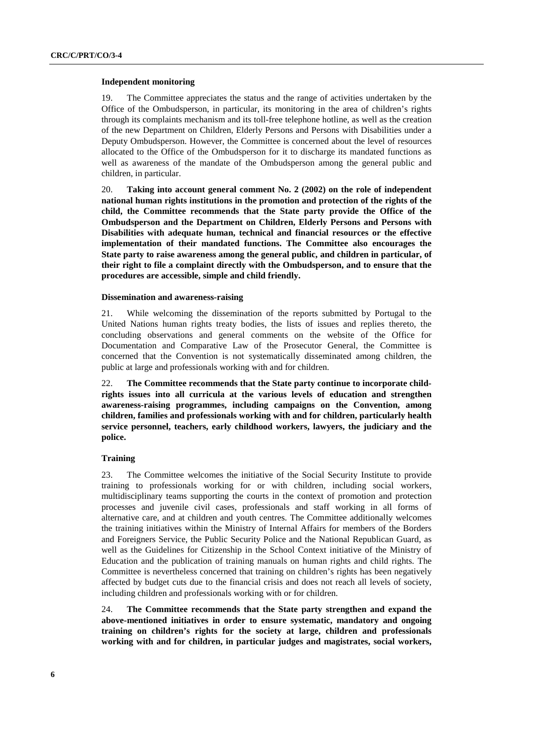#### **Independent monitoring**

19. The Committee appreciates the status and the range of activities undertaken by the Office of the Ombudsperson, in particular, its monitoring in the area of children's rights through its complaints mechanism and its toll-free telephone hotline, as well as the creation of the new Department on Children, Elderly Persons and Persons with Disabilities under a Deputy Ombudsperson. However, the Committee is concerned about the level of resources allocated to the Office of the Ombudsperson for it to discharge its mandated functions as well as awareness of the mandate of the Ombudsperson among the general public and children, in particular.

20. **Taking into account general comment No. 2 (2002) on the role of independent national human rights institutions in the promotion and protection of the rights of the child, the Committee recommends that the State party provide the Office of the Ombudsperson and the Department on Children, Elderly Persons and Persons with Disabilities with adequate human, technical and financial resources or the effective implementation of their mandated functions. The Committee also encourages the State party to raise awareness among the general public, and children in particular, of their right to file a complaint directly with the Ombudsperson, and to ensure that the procedures are accessible, simple and child friendly.** 

#### **Dissemination and awareness-raising**

21. While welcoming the dissemination of the reports submitted by Portugal to the United Nations human rights treaty bodies, the lists of issues and replies thereto, the concluding observations and general comments on the website of the Office for Documentation and Comparative Law of the Prosecutor General, the Committee is concerned that the Convention is not systematically disseminated among children, the public at large and professionals working with and for children.

22. **The Committee recommends that the State party continue to incorporate childrights issues into all curricula at the various levels of education and strengthen awareness-raising programmes, including campaigns on the Convention, among children, families and professionals working with and for children, particularly health service personnel, teachers, early childhood workers, lawyers, the judiciary and the police.** 

## **Training**

23. The Committee welcomes the initiative of the Social Security Institute to provide training to professionals working for or with children, including social workers, multidisciplinary teams supporting the courts in the context of promotion and protection processes and juvenile civil cases, professionals and staff working in all forms of alternative care, and at children and youth centres. The Committee additionally welcomes the training initiatives within the Ministry of Internal Affairs for members of the Borders and Foreigners Service, the Public Security Police and the National Republican Guard, as well as the Guidelines for Citizenship in the School Context initiative of the Ministry of Education and the publication of training manuals on human rights and child rights. The Committee is nevertheless concerned that training on children's rights has been negatively affected by budget cuts due to the financial crisis and does not reach all levels of society, including children and professionals working with or for children.

24. **The Committee recommends that the State party strengthen and expand the above-mentioned initiatives in order to ensure systematic, mandatory and ongoing training on children's rights for the society at large, children and professionals working with and for children, in particular judges and magistrates, social workers,**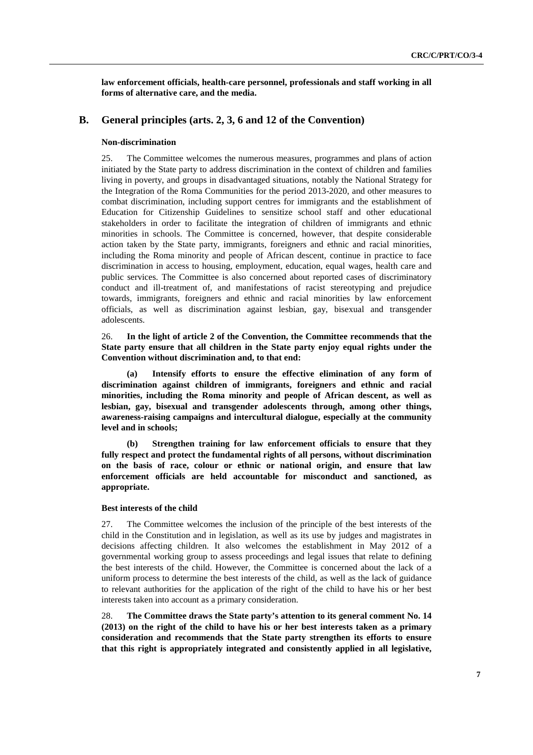**law enforcement officials, health-care personnel, professionals and staff working in all forms of alternative care, and the media.** 

## **B. General principles (arts. 2, 3, 6 and 12 of the Convention)**

#### **Non-discrimination**

25. The Committee welcomes the numerous measures, programmes and plans of action initiated by the State party to address discrimination in the context of children and families living in poverty, and groups in disadvantaged situations, notably the National Strategy for the Integration of the Roma Communities for the period 2013-2020, and other measures to combat discrimination, including support centres for immigrants and the establishment of Education for Citizenship Guidelines to sensitize school staff and other educational stakeholders in order to facilitate the integration of children of immigrants and ethnic minorities in schools. The Committee is concerned, however, that despite considerable action taken by the State party, immigrants, foreigners and ethnic and racial minorities, including the Roma minority and people of African descent, continue in practice to face discrimination in access to housing, employment, education, equal wages, health care and public services. The Committee is also concerned about reported cases of discriminatory conduct and ill-treatment of, and manifestations of racist stereotyping and prejudice towards, immigrants, foreigners and ethnic and racial minorities by law enforcement officials, as well as discrimination against lesbian, gay, bisexual and transgender adolescents.

26. **In the light of article 2 of the Convention, the Committee recommends that the State party ensure that all children in the State party enjoy equal rights under the Convention without discrimination and, to that end:** 

**(a) Intensify efforts to ensure the effective elimination of any form of discrimination against children of immigrants, foreigners and ethnic and racial minorities, including the Roma minority and people of African descent, as well as lesbian, gay, bisexual and transgender adolescents through, among other things, awareness-raising campaigns and intercultural dialogue, especially at the community level and in schools;** 

**(b) Strengthen training for law enforcement officials to ensure that they fully respect and protect the fundamental rights of all persons, without discrimination on the basis of race, colour or ethnic or national origin, and ensure that law enforcement officials are held accountable for misconduct and sanctioned, as appropriate.** 

#### **Best interests of the child**

27. The Committee welcomes the inclusion of the principle of the best interests of the child in the Constitution and in legislation, as well as its use by judges and magistrates in decisions affecting children. It also welcomes the establishment in May 2012 of a governmental working group to assess proceedings and legal issues that relate to defining the best interests of the child. However, the Committee is concerned about the lack of a uniform process to determine the best interests of the child, as well as the lack of guidance to relevant authorities for the application of the right of the child to have his or her best interests taken into account as a primary consideration.

28. **The Committee draws the State party's attention to its general comment No. 14 (2013) on the right of the child to have his or her best interests taken as a primary consideration and recommends that the State party strengthen its efforts to ensure that this right is appropriately integrated and consistently applied in all legislative,**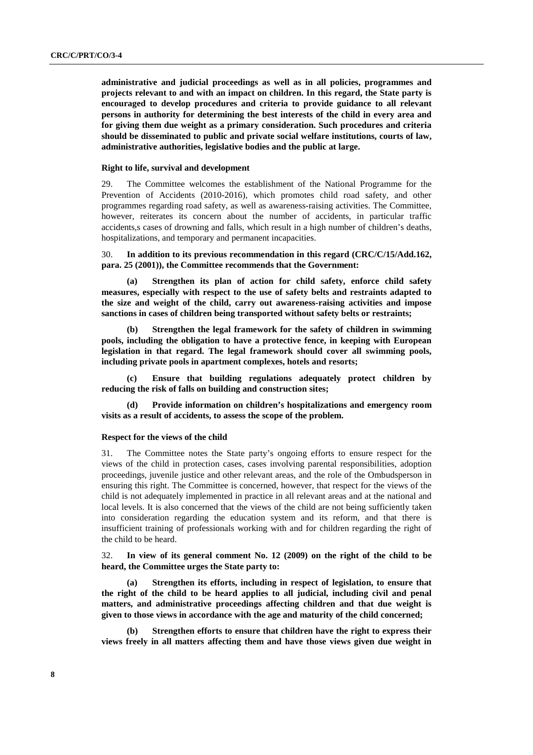**administrative and judicial proceedings as well as in all policies, programmes and projects relevant to and with an impact on children. In this regard, the State party is encouraged to develop procedures and criteria to provide guidance to all relevant persons in authority for determining the best interests of the child in every area and for giving them due weight as a primary consideration. Such procedures and criteria should be disseminated to public and private social welfare institutions, courts of law, administrative authorities, legislative bodies and the public at large.** 

#### **Right to life, survival and development**

29. The Committee welcomes the establishment of the National Programme for the Prevention of Accidents (2010-2016), which promotes child road safety, and other programmes regarding road safety, as well as awareness-raising activities. The Committee, however, reiterates its concern about the number of accidents, in particular traffic accidents,s cases of drowning and falls, which result in a high number of children's deaths, hospitalizations, and temporary and permanent incapacities.

30. **In addition to its previous recommendation in this regard (CRC/C/15/Add.162, para. 25 (2001)), the Committee recommends that the Government:** 

**(a) Strengthen its plan of action for child safety, enforce child safety measures, especially with respect to the use of safety belts and restraints adapted to the size and weight of the child, carry out awareness-raising activities and impose sanctions in cases of children being transported without safety belts or restraints;** 

**(b) Strengthen the legal framework for the safety of children in swimming pools, including the obligation to have a protective fence, in keeping with European legislation in that regard. The legal framework should cover all swimming pools, including private pools in apartment complexes, hotels and resorts;** 

**(c) Ensure that building regulations adequately protect children by reducing the risk of falls on building and construction sites;** 

**(d) Provide information on children's hospitalizations and emergency room visits as a result of accidents, to assess the scope of the problem.** 

#### **Respect for the views of the child**

31. The Committee notes the State party's ongoing efforts to ensure respect for the views of the child in protection cases, cases involving parental responsibilities, adoption proceedings, juvenile justice and other relevant areas, and the role of the Ombudsperson in ensuring this right. The Committee is concerned, however, that respect for the views of the child is not adequately implemented in practice in all relevant areas and at the national and local levels. It is also concerned that the views of the child are not being sufficiently taken into consideration regarding the education system and its reform, and that there is insufficient training of professionals working with and for children regarding the right of the child to be heard.

32. **In view of its general comment No. 12 (2009) on the right of the child to be heard, the Committee urges the State party to:** 

**(a) Strengthen its efforts, including in respect of legislation, to ensure that the right of the child to be heard applies to all judicial, including civil and penal matters, and administrative proceedings affecting children and that due weight is given to those views in accordance with the age and maturity of the child concerned;** 

**(b) Strengthen efforts to ensure that children have the right to express their views freely in all matters affecting them and have those views given due weight in**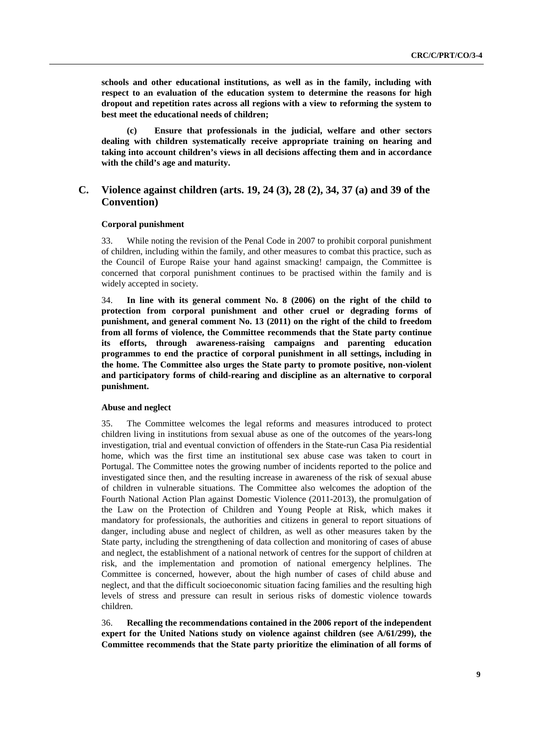**schools and other educational institutions, as well as in the family, including with respect to an evaluation of the education system to determine the reasons for high dropout and repetition rates across all regions with a view to reforming the system to best meet the educational needs of children;** 

**(c) Ensure that professionals in the judicial, welfare and other sectors dealing with children systematically receive appropriate training on hearing and taking into account children's views in all decisions affecting them and in accordance with the child's age and maturity.** 

## **C. Violence against children (arts. 19, 24 (3), 28 (2), 34, 37 (a) and 39 of the Convention)**

### **Corporal punishment**

33. While noting the revision of the Penal Code in 2007 to prohibit corporal punishment of children, including within the family, and other measures to combat this practice, such as the Council of Europe Raise your hand against smacking! campaign, the Committee is concerned that corporal punishment continues to be practised within the family and is widely accepted in society.

34. **In line with its general comment No. 8 (2006) on the right of the child to protection from corporal punishment and other cruel or degrading forms of punishment, and general comment No. 13 (2011) on the right of the child to freedom from all forms of violence, the Committee recommends that the State party continue its efforts, through awareness-raising campaigns and parenting education programmes to end the practice of corporal punishment in all settings, including in the home. The Committee also urges the State party to promote positive, non-violent and participatory forms of child-rearing and discipline as an alternative to corporal punishment.** 

#### **Abuse and neglect**

35. The Committee welcomes the legal reforms and measures introduced to protect children living in institutions from sexual abuse as one of the outcomes of the years-long investigation, trial and eventual conviction of offenders in the State-run Casa Pia residential home, which was the first time an institutional sex abuse case was taken to court in Portugal. The Committee notes the growing number of incidents reported to the police and investigated since then, and the resulting increase in awareness of the risk of sexual abuse of children in vulnerable situations. The Committee also welcomes the adoption of the Fourth National Action Plan against Domestic Violence (2011-2013), the promulgation of the Law on the Protection of Children and Young People at Risk, which makes it mandatory for professionals, the authorities and citizens in general to report situations of danger, including abuse and neglect of children, as well as other measures taken by the State party, including the strengthening of data collection and monitoring of cases of abuse and neglect, the establishment of a national network of centres for the support of children at risk, and the implementation and promotion of national emergency helplines. The Committee is concerned, however, about the high number of cases of child abuse and neglect, and that the difficult socioeconomic situation facing families and the resulting high levels of stress and pressure can result in serious risks of domestic violence towards children.

36. **Recalling the recommendations contained in the 2006 report of the independent expert for the United Nations study on violence against children (see A/61/299), the Committee recommends that the State party prioritize the elimination of all forms of**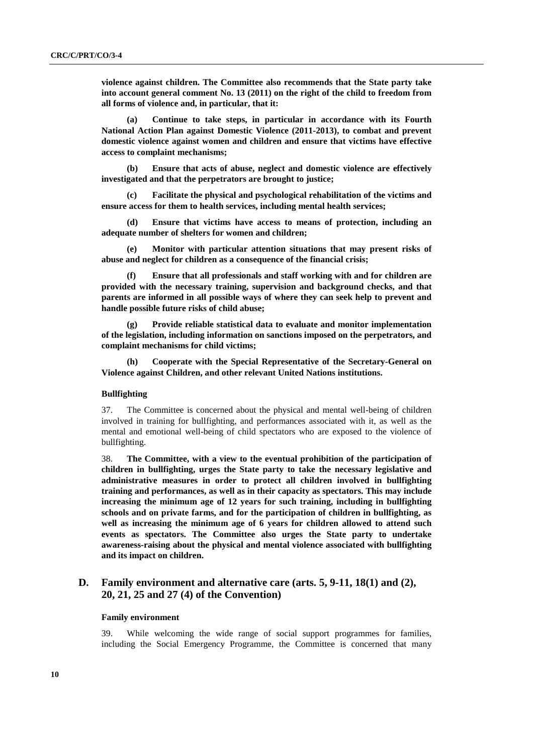**violence against children. The Committee also recommends that the State party take into account general comment No. 13 (2011) on the right of the child to freedom from all forms of violence and, in particular, that it:** 

**(a) Continue to take steps, in particular in accordance with its Fourth National Action Plan against Domestic Violence (2011-2013), to combat and prevent domestic violence against women and children and ensure that victims have effective access to complaint mechanisms;** 

**(b) Ensure that acts of abuse, neglect and domestic violence are effectively investigated and that the perpetrators are brought to justice;** 

**(c) Facilitate the physical and psychological rehabilitation of the victims and ensure access for them to health services, including mental health services;** 

**(d) Ensure that victims have access to means of protection, including an adequate number of shelters for women and children;** 

**(e) Monitor with particular attention situations that may present risks of abuse and neglect for children as a consequence of the financial crisis;** 

**(f) Ensure that all professionals and staff working with and for children are provided with the necessary training, supervision and background checks, and that parents are informed in all possible ways of where they can seek help to prevent and handle possible future risks of child abuse;** 

**(g) Provide reliable statistical data to evaluate and monitor implementation of the legislation, including information on sanctions imposed on the perpetrators, and complaint mechanisms for child victims;** 

**(h) Cooperate with the Special Representative of the Secretary-General on Violence against Children, and other relevant United Nations institutions.** 

## **Bullfighting**

37. The Committee is concerned about the physical and mental well-being of children involved in training for bullfighting, and performances associated with it, as well as the mental and emotional well-being of child spectators who are exposed to the violence of bullfighting.

38. **The Committee, with a view to the eventual prohibition of the participation of children in bullfighting, urges the State party to take the necessary legislative and administrative measures in order to protect all children involved in bullfighting training and performances, as well as in their capacity as spectators. This may include increasing the minimum age of 12 years for such training, including in bullfighting schools and on private farms, and for the participation of children in bullfighting, as well as increasing the minimum age of 6 years for children allowed to attend such events as spectators. The Committee also urges the State party to undertake awareness-raising about the physical and mental violence associated with bullfighting and its impact on children.** 

## **D. Family environment and alternative care (arts. 5, 9-11, 18(1) and (2), 20, 21, 25 and 27 (4) of the Convention)**

#### **Family environment**

39. While welcoming the wide range of social support programmes for families, including the Social Emergency Programme, the Committee is concerned that many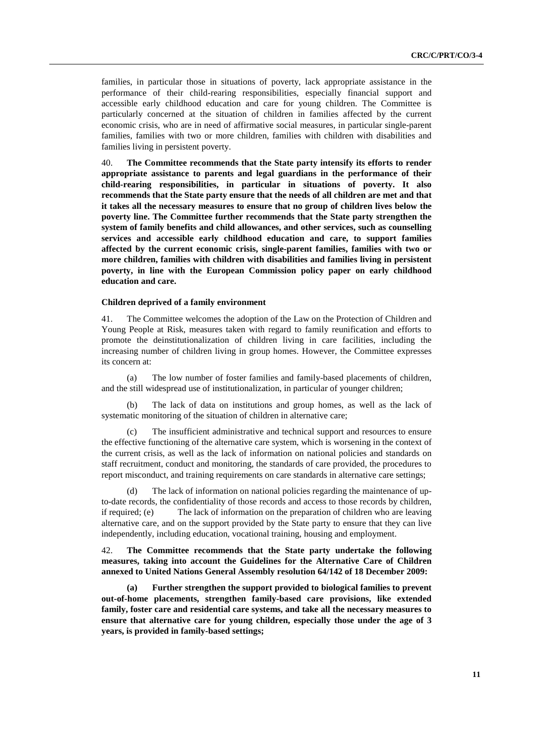families, in particular those in situations of poverty, lack appropriate assistance in the performance of their child-rearing responsibilities, especially financial support and accessible early childhood education and care for young children. The Committee is particularly concerned at the situation of children in families affected by the current economic crisis, who are in need of affirmative social measures, in particular single-parent families, families with two or more children, families with children with disabilities and families living in persistent poverty.

40. **The Committee recommends that the State party intensify its efforts to render appropriate assistance to parents and legal guardians in the performance of their child-rearing responsibilities, in particular in situations of poverty. It also recommends that the State party ensure that the needs of all children are met and that it takes all the necessary measures to ensure that no group of children lives below the poverty line. The Committee further recommends that the State party strengthen the system of family benefits and child allowances, and other services, such as counselling services and accessible early childhood education and care, to support families affected by the current economic crisis, single-parent families, families with two or more children, families with children with disabilities and families living in persistent poverty, in line with the European Commission policy paper on early childhood education and care.** 

### **Children deprived of a family environment**

41. The Committee welcomes the adoption of the Law on the Protection of Children and Young People at Risk, measures taken with regard to family reunification and efforts to promote the deinstitutionalization of children living in care facilities, including the increasing number of children living in group homes. However, the Committee expresses its concern at:

(a) The low number of foster families and family-based placements of children, and the still widespread use of institutionalization, in particular of younger children;

(b) The lack of data on institutions and group homes, as well as the lack of systematic monitoring of the situation of children in alternative care;

(c) The insufficient administrative and technical support and resources to ensure the effective functioning of the alternative care system, which is worsening in the context of the current crisis, as well as the lack of information on national policies and standards on staff recruitment, conduct and monitoring, the standards of care provided, the procedures to report misconduct, and training requirements on care standards in alternative care settings;

(d) The lack of information on national policies regarding the maintenance of upto-date records, the confidentiality of those records and access to those records by children, if required; (e) The lack of information on the preparation of children who are leaving alternative care, and on the support provided by the State party to ensure that they can live independently, including education, vocational training, housing and employment.

42. **The Committee recommends that the State party undertake the following measures, taking into account the Guidelines for the Alternative Care of Children annexed to United Nations General Assembly resolution 64/142 of 18 December 2009:** 

**(a) Further strengthen the support provided to biological families to prevent out-of-home placements, strengthen family-based care provisions, like extended family, foster care and residential care systems, and take all the necessary measures to ensure that alternative care for young children, especially those under the age of 3 years, is provided in family-based settings;**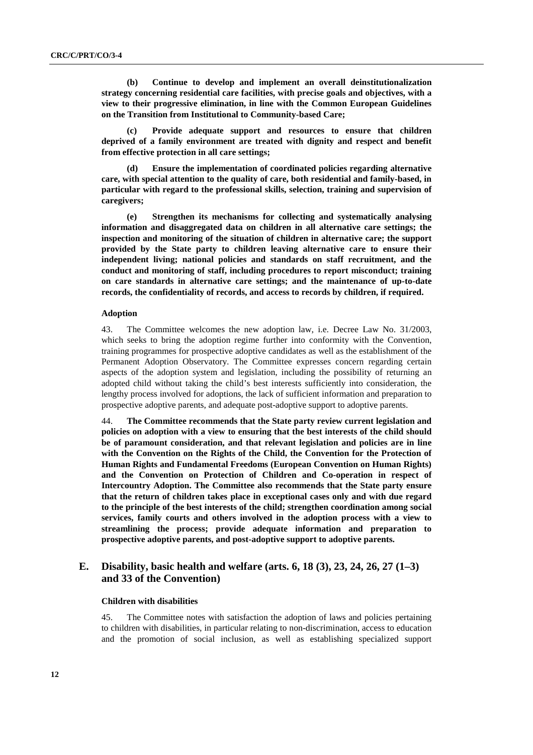**(b) Continue to develop and implement an overall deinstitutionalization strategy concerning residential care facilities, with precise goals and objectives, with a view to their progressive elimination, in line with the Common European Guidelines on the Transition from Institutional to Community-based Care;** 

Provide adequate support and resources to ensure that children **deprived of a family environment are treated with dignity and respect and benefit from effective protection in all care settings;** 

**(d) Ensure the implementation of coordinated policies regarding alternative care, with special attention to the quality of care, both residential and family-based, in particular with regard to the professional skills, selection, training and supervision of caregivers;** 

**(e) Strengthen its mechanisms for collecting and systematically analysing information and disaggregated data on children in all alternative care settings; the inspection and monitoring of the situation of children in alternative care; the support provided by the State party to children leaving alternative care to ensure their independent living; national policies and standards on staff recruitment, and the conduct and monitoring of staff, including procedures to report misconduct; training on care standards in alternative care settings; and the maintenance of up-to-date records, the confidentiality of records, and access to records by children, if required.** 

#### **Adoption**

43. The Committee welcomes the new adoption law, i.e. Decree Law No. 31/2003, which seeks to bring the adoption regime further into conformity with the Convention, training programmes for prospective adoptive candidates as well as the establishment of the Permanent Adoption Observatory. The Committee expresses concern regarding certain aspects of the adoption system and legislation, including the possibility of returning an adopted child without taking the child's best interests sufficiently into consideration, the lengthy process involved for adoptions, the lack of sufficient information and preparation to prospective adoptive parents, and adequate post-adoptive support to adoptive parents.

44. **The Committee recommends that the State party review current legislation and policies on adoption with a view to ensuring that the best interests of the child should be of paramount consideration, and that relevant legislation and policies are in line with the Convention on the Rights of the Child, the Convention for the Protection of Human Rights and Fundamental Freedoms (European Convention on Human Rights) and the Convention on Protection of Children and Co-operation in respect of Intercountry Adoption. The Committee also recommends that the State party ensure that the return of children takes place in exceptional cases only and with due regard to the principle of the best interests of the child; strengthen coordination among social services, family courts and others involved in the adoption process with a view to streamlining the process; provide adequate information and preparation to prospective adoptive parents, and post-adoptive support to adoptive parents.** 

## **E. Disability, basic health and welfare (arts. 6, 18 (3), 23, 24, 26, 27 (1–3) and 33 of the Convention)**

#### **Children with disabilities**

45. The Committee notes with satisfaction the adoption of laws and policies pertaining to children with disabilities, in particular relating to non-discrimination, access to education and the promotion of social inclusion, as well as establishing specialized support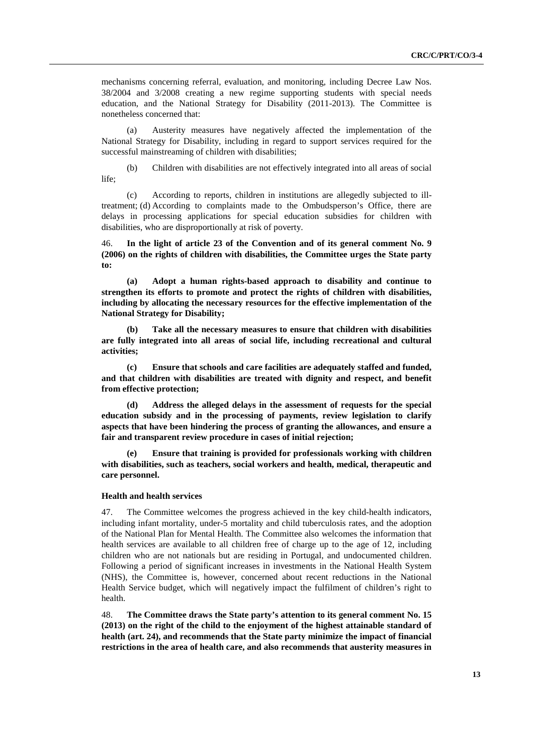mechanisms concerning referral, evaluation, and monitoring, including Decree Law Nos. 38/2004 and 3/2008 creating a new regime supporting students with special needs education, and the National Strategy for Disability (2011-2013). The Committee is nonetheless concerned that:

(a) Austerity measures have negatively affected the implementation of the National Strategy for Disability, including in regard to support services required for the successful mainstreaming of children with disabilities;

(b) Children with disabilities are not effectively integrated into all areas of social life;

(c) According to reports, children in institutions are allegedly subjected to illtreatment; (d) According to complaints made to the Ombudsperson's Office, there are delays in processing applications for special education subsidies for children with disabilities, who are disproportionally at risk of poverty.

46. **In the light of article 23 of the Convention and of its general comment No. 9 (2006) on the rights of children with disabilities, the Committee urges the State party to:** 

**(a) Adopt a human rights-based approach to disability and continue to strengthen its efforts to promote and protect the rights of children with disabilities, including by allocating the necessary resources for the effective implementation of the National Strategy for Disability;** 

**(b) Take all the necessary measures to ensure that children with disabilities are fully integrated into all areas of social life, including recreational and cultural activities;** 

**(c) Ensure that schools and care facilities are adequately staffed and funded, and that children with disabilities are treated with dignity and respect, and benefit from effective protection;** 

**(d) Address the alleged delays in the assessment of requests for the special education subsidy and in the processing of payments, review legislation to clarify aspects that have been hindering the process of granting the allowances, and ensure a fair and transparent review procedure in cases of initial rejection;** 

**(e) Ensure that training is provided for professionals working with children with disabilities, such as teachers, social workers and health, medical, therapeutic and care personnel.**

## **Health and health services**

47. The Committee welcomes the progress achieved in the key child-health indicators, including infant mortality, under-5 mortality and child tuberculosis rates, and the adoption of the National Plan for Mental Health. The Committee also welcomes the information that health services are available to all children free of charge up to the age of 12, including children who are not nationals but are residing in Portugal, and undocumented children. Following a period of significant increases in investments in the National Health System (NHS), the Committee is, however, concerned about recent reductions in the National Health Service budget, which will negatively impact the fulfilment of children's right to health.

48. **The Committee draws the State party's attention to its general comment No. 15 (2013) on the right of the child to the enjoyment of the highest attainable standard of health (art. 24), and recommends that the State party minimize the impact of financial restrictions in the area of health care, and also recommends that austerity measures in**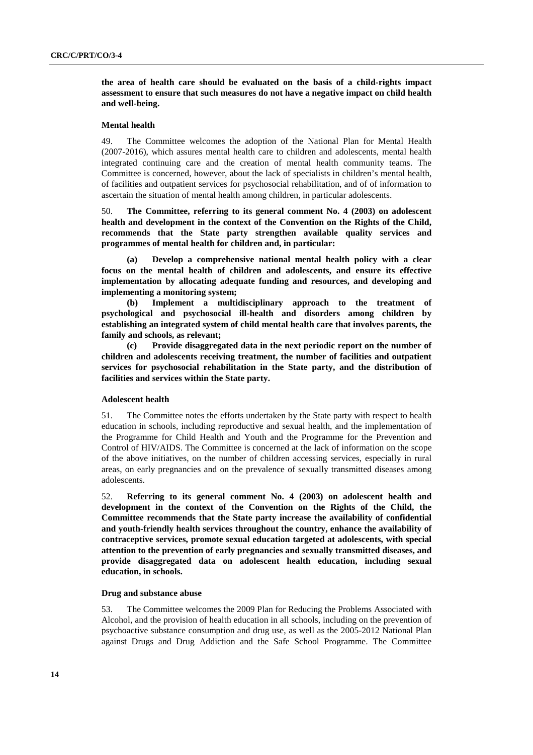**the area of health care should be evaluated on the basis of a child-rights impact assessment to ensure that such measures do not have a negative impact on child health and well-being.** 

#### **Mental health**

49. The Committee welcomes the adoption of the National Plan for Mental Health (2007-2016), which assures mental health care to children and adolescents, mental health integrated continuing care and the creation of mental health community teams. The Committee is concerned, however, about the lack of specialists in children's mental health, of facilities and outpatient services for psychosocial rehabilitation, and of of information to ascertain the situation of mental health among children, in particular adolescents.

50. **The Committee, referring to its general comment No. 4 (2003) on adolescent health and development in the context of the Convention on the Rights of the Child, recommends that the State party strengthen available quality services and programmes of mental health for children and, in particular:** 

**(a) Develop a comprehensive national mental health policy with a clear focus on the mental health of children and adolescents, and ensure its effective implementation by allocating adequate funding and resources, and developing and implementing a monitoring system;**

**(b) Implement a multidisciplinary approach to the treatment of psychological and psychosocial ill-health and disorders among children by establishing an integrated system of child mental health care that involves parents, the family and schools, as relevant;** 

**(c) Provide disaggregated data in the next periodic report on the number of children and adolescents receiving treatment, the number of facilities and outpatient services for psychosocial rehabilitation in the State party, and the distribution of facilities and services within the State party.** 

#### **Adolescent health**

51. The Committee notes the efforts undertaken by the State party with respect to health education in schools, including reproductive and sexual health, and the implementation of the Programme for Child Health and Youth and the Programme for the Prevention and Control of HIV/AIDS. The Committee is concerned at the lack of information on the scope of the above initiatives, on the number of children accessing services, especially in rural areas, on early pregnancies and on the prevalence of sexually transmitted diseases among adolescents.

52. **Referring to its general comment No. 4 (2003) on adolescent health and development in the context of the Convention on the Rights of the Child, the Committee recommends that the State party increase the availability of confidential and youth-friendly health services throughout the country, enhance the availability of contraceptive services, promote sexual education targeted at adolescents, with special attention to the prevention of early pregnancies and sexually transmitted diseases, and provide disaggregated data on adolescent health education, including sexual education, in schools.** 

#### **Drug and substance abuse**

53. The Committee welcomes the 2009 Plan for Reducing the Problems Associated with Alcohol, and the provision of health education in all schools, including on the prevention of psychoactive substance consumption and drug use, as well as the 2005-2012 National Plan against Drugs and Drug Addiction and the Safe School Programme. The Committee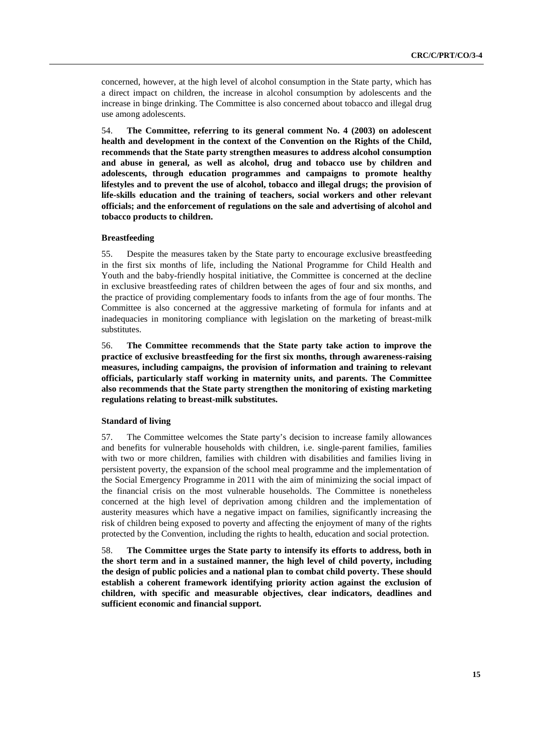concerned, however, at the high level of alcohol consumption in the State party, which has a direct impact on children, the increase in alcohol consumption by adolescents and the increase in binge drinking. The Committee is also concerned about tobacco and illegal drug use among adolescents.

54. **The Committee, referring to its general comment No. 4 (2003) on adolescent health and development in the context of the Convention on the Rights of the Child, recommends that the State party strengthen measures to address alcohol consumption and abuse in general, as well as alcohol, drug and tobacco use by children and adolescents, through education programmes and campaigns to promote healthy lifestyles and to prevent the use of alcohol, tobacco and illegal drugs; the provision of life-skills education and the training of teachers, social workers and other relevant officials; and the enforcement of regulations on the sale and advertising of alcohol and tobacco products to children.** 

#### **Breastfeeding**

55. Despite the measures taken by the State party to encourage exclusive breastfeeding in the first six months of life, including the National Programme for Child Health and Youth and the baby-friendly hospital initiative, the Committee is concerned at the decline in exclusive breastfeeding rates of children between the ages of four and six months, and the practice of providing complementary foods to infants from the age of four months. The Committee is also concerned at the aggressive marketing of formula for infants and at inadequacies in monitoring compliance with legislation on the marketing of breast-milk substitutes.

56. **The Committee recommends that the State party take action to improve the practice of exclusive breastfeeding for the first six months, through awareness-raising measures, including campaigns, the provision of information and training to relevant officials, particularly staff working in maternity units, and parents. The Committee also recommends that the State party strengthen the monitoring of existing marketing regulations relating to breast-milk substitutes.** 

### **Standard of living**

57. The Committee welcomes the State party's decision to increase family allowances and benefits for vulnerable households with children, i.e. single-parent families, families with two or more children, families with children with disabilities and families living in persistent poverty, the expansion of the school meal programme and the implementation of the Social Emergency Programme in 2011 with the aim of minimizing the social impact of the financial crisis on the most vulnerable households. The Committee is nonetheless concerned at the high level of deprivation among children and the implementation of austerity measures which have a negative impact on families, significantly increasing the risk of children being exposed to poverty and affecting the enjoyment of many of the rights protected by the Convention, including the rights to health, education and social protection.

58. **The Committee urges the State party to intensify its efforts to address, both in the short term and in a sustained manner, the high level of child poverty, including the design of public policies and a national plan to combat child poverty. These should establish a coherent framework identifying priority action against the exclusion of children, with specific and measurable objectives, clear indicators, deadlines and sufficient economic and financial support.**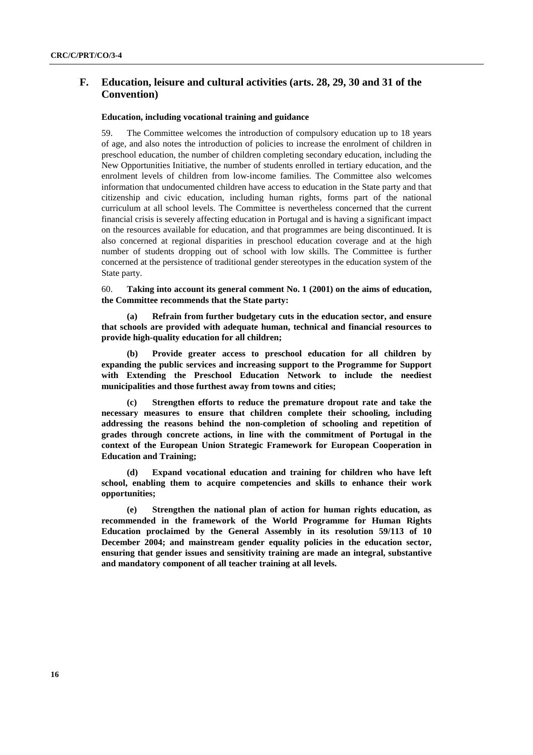## **F. Education, leisure and cultural activities (arts. 28, 29, 30 and 31 of the Convention)**

### **Education, including vocational training and guidance**

59. The Committee welcomes the introduction of compulsory education up to 18 years of age, and also notes the introduction of policies to increase the enrolment of children in preschool education, the number of children completing secondary education, including the New Opportunities Initiative, the number of students enrolled in tertiary education, and the enrolment levels of children from low-income families. The Committee also welcomes information that undocumented children have access to education in the State party and that citizenship and civic education, including human rights, forms part of the national curriculum at all school levels. The Committee is nevertheless concerned that the current financial crisis is severely affecting education in Portugal and is having a significant impact on the resources available for education, and that programmes are being discontinued. It is also concerned at regional disparities in preschool education coverage and at the high number of students dropping out of school with low skills. The Committee is further concerned at the persistence of traditional gender stereotypes in the education system of the State party.

60. **Taking into account its general comment No. 1 (2001) on the aims of education, the Committee recommends that the State party:** 

Refrain from further budgetary cuts in the education sector, and ensure **that schools are provided with adequate human, technical and financial resources to provide high-quality education for all children;** 

**(b) Provide greater access to preschool education for all children by expanding the public services and increasing support to the Programme for Support with Extending the Preschool Education Network to include the neediest municipalities and those furthest away from towns and cities;**

**(c) Strengthen efforts to reduce the premature dropout rate and take the necessary measures to ensure that children complete their schooling, including addressing the reasons behind the non-completion of schooling and repetition of grades through concrete actions, in line with the commitment of Portugal in the context of the European Union Strategic Framework for European Cooperation in Education and Training;** 

**(d) Expand vocational education and training for children who have left school, enabling them to acquire competencies and skills to enhance their work opportunities;** 

**(e) Strengthen the national plan of action for human rights education, as recommended in the framework of the World Programme for Human Rights Education proclaimed by the General Assembly in its resolution 59/113 of 10 December 2004; and mainstream gender equality policies in the education sector, ensuring that gender issues and sensitivity training are made an integral, substantive and mandatory component of all teacher training at all levels.**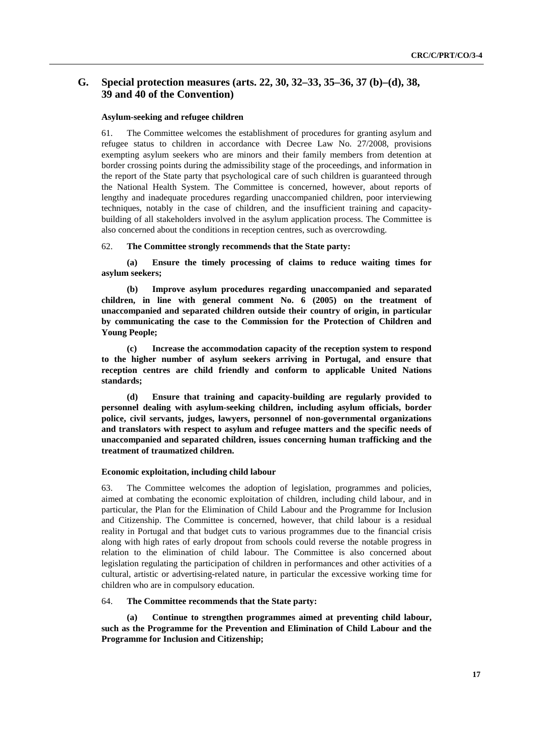## **G. Special protection measures (arts. 22, 30, 32–33, 35–36, 37 (b)–(d), 38, 39 and 40 of the Convention)**

#### **Asylum-seeking and refugee children**

61. The Committee welcomes the establishment of procedures for granting asylum and refugee status to children in accordance with Decree Law No. 27/2008, provisions exempting asylum seekers who are minors and their family members from detention at border crossing points during the admissibility stage of the proceedings, and information in the report of the State party that psychological care of such children is guaranteed through the National Health System. The Committee is concerned, however, about reports of lengthy and inadequate procedures regarding unaccompanied children, poor interviewing techniques, notably in the case of children, and the insufficient training and capacitybuilding of all stakeholders involved in the asylum application process. The Committee is also concerned about the conditions in reception centres, such as overcrowding.

#### 62. **The Committee strongly recommends that the State party:**

**(a) Ensure the timely processing of claims to reduce waiting times for asylum seekers;** 

**(b) Improve asylum procedures regarding unaccompanied and separated children, in line with general comment No. 6 (2005) on the treatment of unaccompanied and separated children outside their country of origin, in particular by communicating the case to the Commission for the Protection of Children and Young People;** 

**(c) Increase the accommodation capacity of the reception system to respond to the higher number of asylum seekers arriving in Portugal, and ensure that reception centres are child friendly and conform to applicable United Nations standards;** 

**(d) Ensure that training and capacity-building are regularly provided to personnel dealing with asylum-seeking children, including asylum officials, border police, civil servants, judges, lawyers, personnel of non-governmental organizations and translators with respect to asylum and refugee matters and the specific needs of unaccompanied and separated children, issues concerning human trafficking and the treatment of traumatized children.** 

#### **Economic exploitation, including child labour**

63. The Committee welcomes the adoption of legislation, programmes and policies, aimed at combating the economic exploitation of children, including child labour, and in particular, the Plan for the Elimination of Child Labour and the Programme for Inclusion and Citizenship. The Committee is concerned, however, that child labour is a residual reality in Portugal and that budget cuts to various programmes due to the financial crisis along with high rates of early dropout from schools could reverse the notable progress in relation to the elimination of child labour. The Committee is also concerned about legislation regulating the participation of children in performances and other activities of a cultural, artistic or advertising-related nature, in particular the excessive working time for children who are in compulsory education.

#### 64. **The Committee recommends that the State party:**

**(a) Continue to strengthen programmes aimed at preventing child labour, such as the Programme for the Prevention and Elimination of Child Labour and the Programme for Inclusion and Citizenship;**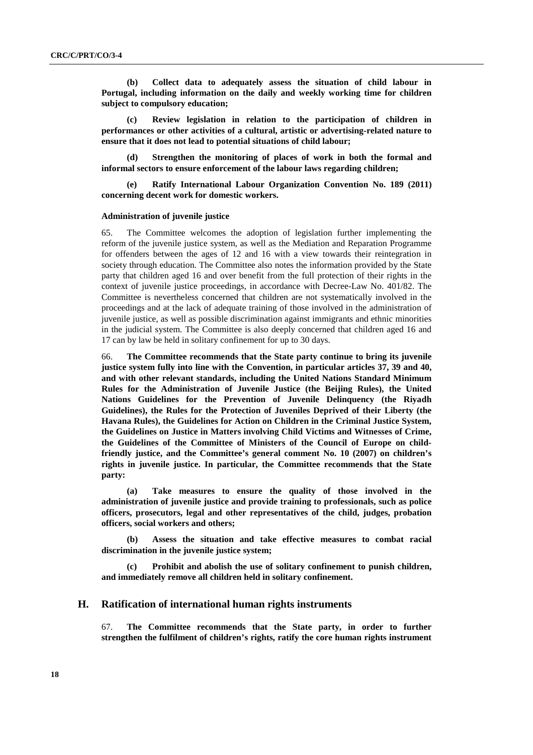**(b) Collect data to adequately assess the situation of child labour in Portugal, including information on the daily and weekly working time for children subject to compulsory education;** 

**(c) Review legislation in relation to the participation of children in performances or other activities of a cultural, artistic or advertising-related nature to ensure that it does not lead to potential situations of child labour;** 

Strengthen the monitoring of places of work in both the formal and **informal sectors to ensure enforcement of the labour laws regarding children;** 

**(e) Ratify International Labour Organization Convention No. 189 (2011) concerning decent work for domestic workers.** 

#### **Administration of juvenile justice**

65. The Committee welcomes the adoption of legislation further implementing the reform of the juvenile justice system, as well as the Mediation and Reparation Programme for offenders between the ages of 12 and 16 with a view towards their reintegration in society through education. The Committee also notes the information provided by the State party that children aged 16 and over benefit from the full protection of their rights in the context of juvenile justice proceedings, in accordance with Decree-Law No. 401/82. The Committee is nevertheless concerned that children are not systematically involved in the proceedings and at the lack of adequate training of those involved in the administration of juvenile justice, as well as possible discrimination against immigrants and ethnic minorities in the judicial system. The Committee is also deeply concerned that children aged 16 and 17 can by law be held in solitary confinement for up to 30 days.

66. **The Committee recommends that the State party continue to bring its juvenile justice system fully into line with the Convention, in particular articles 37, 39 and 40, and with other relevant standards, including the United Nations Standard Minimum Rules for the Administration of Juvenile Justice (the Beijing Rules), the United Nations Guidelines for the Prevention of Juvenile Delinquency (the Riyadh Guidelines), the Rules for the Protection of Juveniles Deprived of their Liberty (the Havana Rules), the Guidelines for Action on Children in the Criminal Justice System, the Guidelines on Justice in Matters involving Child Victims and Witnesses of Crime, the Guidelines of the Committee of Ministers of the Council of Europe on childfriendly justice, and the Committee's general comment No. 10 (2007) on children's rights in juvenile justice. In particular, the Committee recommends that the State party:** 

**(a) Take measures to ensure the quality of those involved in the administration of juvenile justice and provide training to professionals, such as police officers, prosecutors, legal and other representatives of the child, judges, probation officers, social workers and others;** 

**(b) Assess the situation and take effective measures to combat racial discrimination in the juvenile justice system;** 

**(c) Prohibit and abolish the use of solitary confinement to punish children, and immediately remove all children held in solitary confinement.** 

## **H. Ratification of international human rights instruments**

67. **The Committee recommends that the State party, in order to further strengthen the fulfilment of children's rights, ratify the core human rights instrument**